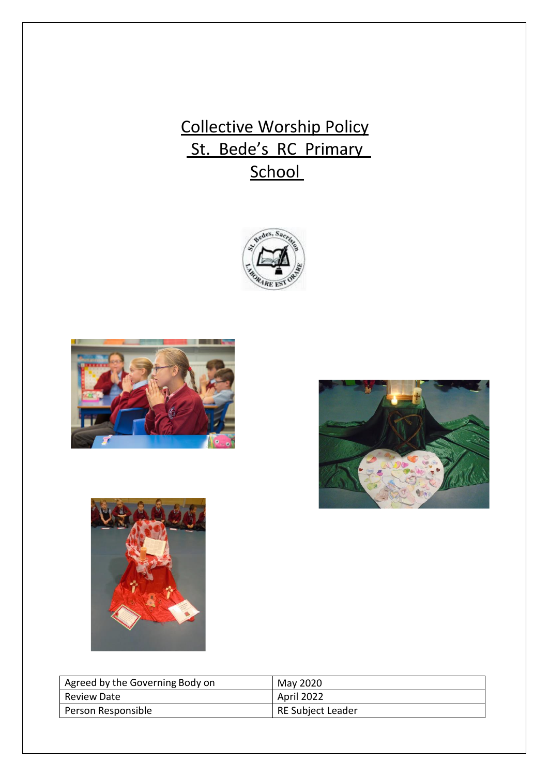# Collective Worship Policy St. Bede's RC Primary **School**









| Agreed by the Governing Body on | May 2020          |
|---------------------------------|-------------------|
| <b>Review Date</b>              | April 2022        |
| Person Responsible              | RE Subject Leader |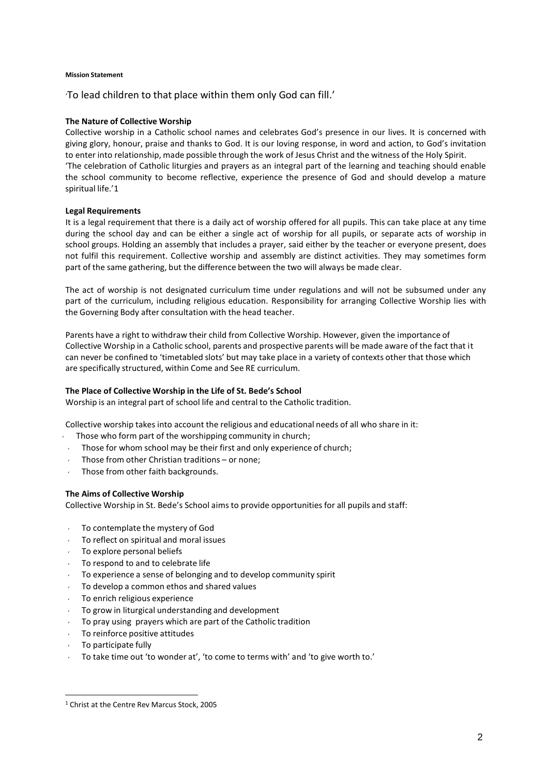## **Mission Statement**

'To lead children to that place within them only God can fill.'

# **The Nature of Collective Worship**

Collective worship in a Catholic school names and celebrates God's presence in our lives. It is concerned with giving glory, honour, praise and thanks to God. It is our loving response, in word and action, to God's invitation to enter into relationship, made possible through the work of Jesus Christ and the witness of the Holy Spirit. 'The celebration of Catholic liturgies and prayers as an integral part of the learning and teaching should enable the school community to become reflective, experience the presence of God and should develop a mature spiritual life.'1

## **Legal Requirements**

It is a legal requirement that there is a daily act of worship offered for all pupils. This can take place at any time during the school day and can be either a single act of worship for all pupils, or separate acts of worship in school groups. Holding an assembly that includes a prayer, said either by the teacher or everyone present, does not fulfil this requirement. Collective worship and assembly are distinct activities. They may sometimes form part of the same gathering, but the difference between the two will always be made clear.

The act of worship is not designated curriculum time under regulations and will not be subsumed under any part of the curriculum, including religious education. Responsibility for arranging Collective Worship lies with the Governing Body after consultation with the head teacher.

Parents have a right to withdraw their child from Collective Worship. However, given the importance of Collective Worship in a Catholic school, parents and prospective parents will be made aware of the fact that it can never be confined to 'timetabled slots' but may take place in a variety of contexts other that those which are specifically structured, within Come and See RE curriculum.

#### **The Place of Collective Worship in the Life of St. Bede's School**

Worship is an integral part of school life and central to the Catholic tradition.

Collective worship takes into account the religious and educational needs of all who share in it:

- Those who form part of the worshipping community in church;
- Those for whom school may be their first and only experience of church;
- Those from other Christian traditions or none;
- Those from other faith backgrounds.

# **The Aims of Collective Worship**

Collective Worship in St. Bede's School aims to provide opportunitiesfor all pupils and staff:

- To contemplate the mystery of God
- To reflect on spiritual and moral issues
- To explore personal beliefs
- To respond to and to celebrate life
- To experience a sense of belonging and to develop community spirit
- To develop a common ethos and shared values
- To enrich religious experience
- To grow in liturgical understanding and development
- To pray using prayers which are part of the Catholic tradition
- To reinforce positive attitudes
- To participate fully
- To take time out 'to wonder at', 'to come to terms with' and 'to give worth to.'

<sup>1</sup> Christ at the Centre Rev Marcus Stock, 2005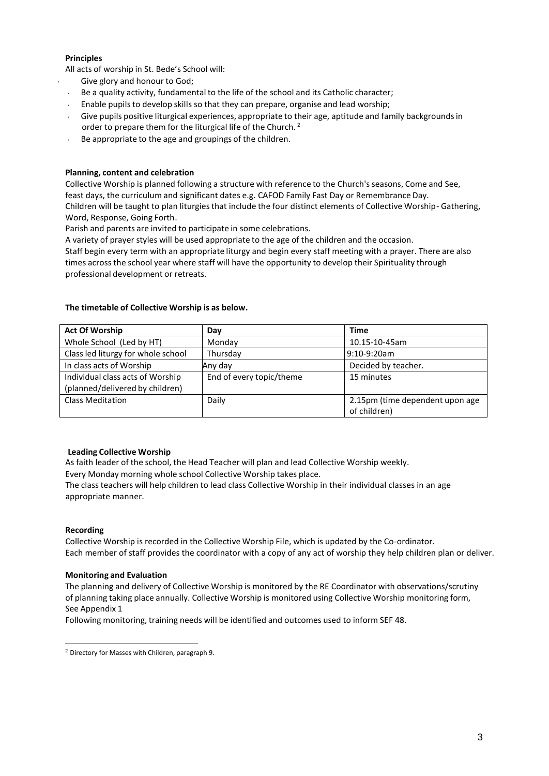# **Principles**

All acts of worship in St. Bede's School will:

- Give glory and honour to God;
- Be a quality activity, fundamental to the life of the school and its Catholic character;
- Enable pupilsto develop skills so that they can prepare, organise and lead worship;
- Give pupils positive liturgical experiences, appropriate to their age, aptitude and family backgroundsin order to prepare them for the liturgical life of the Church.<sup>2</sup>
- $\cdot$  Be appropriate to the age and groupings of the children.

# **Planning, content and celebration**

Collective Worship is planned following a structure with reference to the Church's seasons, Come and See, feast days, the curriculum and significant dates e.g. CAFOD Family Fast Day or Remembrance Day. Children will be taught to plan liturgiesthat include the four distinct elements of Collective Worship- Gathering, Word, Response, Going Forth.

Parish and parents are invited to participate in some celebrations.

A variety of prayer styles will be used appropriate to the age of the children and the occasion. Staff begin every term with an appropriate liturgy and begin every staff meeting with a prayer. There are also times across the school year where staff will have the opportunity to develop their Spirituality through professional development or retreats.

# **The timetable of Collective Worship is as below.**

| <b>Act Of Worship</b>              | Day                      | <b>Time</b>                     |
|------------------------------------|--------------------------|---------------------------------|
| Whole School (Led by HT)           | Monday                   | 10.15-10-45am                   |
| Class led liturgy for whole school | Thursday                 | $9:10-9:20am$                   |
| In class acts of Worship           | Any day                  | Decided by teacher.             |
| Individual class acts of Worship   | End of every topic/theme | 15 minutes                      |
| (planned/delivered by children)    |                          |                                 |
| <b>Class Meditation</b>            | Daily                    | 2.15pm (time dependent upon age |
|                                    |                          | of children)                    |

#### **Leading Collective Worship**

appropriate manner.

As faith leader of the school, the Head Teacher will plan and lead Collective Worship weekly. Every Monday morning whole school Collective Worship takes place. The class teachers will help children to lead class Collective Worship in their individual classes in an age

#### **Recording**

Collective Worship is recorded in the Collective Worship File, which is updated by the Co-ordinator. Each member of staff provides the coordinator with a copy of any act of worship they help children plan or deliver.

#### **Monitoring and Evaluation**

The planning and delivery of Collective Worship is monitored by the RE Coordinator with observations/scrutiny of planning taking place annually. Collective Worship is monitored using Collective Worship monitoring form, See Appendix 1

Following monitoring, training needs will be identified and outcomes used to inform SEF 48.

<sup>2</sup> Directory for Masses with Children, paragraph 9.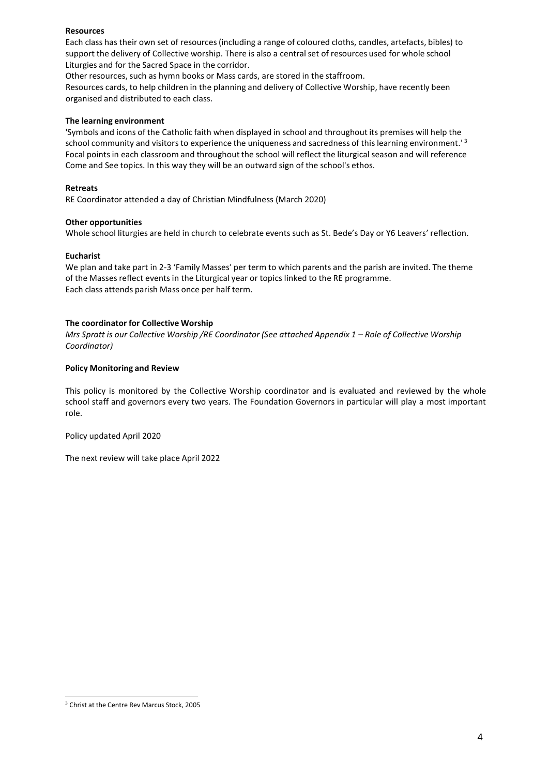# **Resources**

Each class has their own set of resources(including a range of coloured cloths, candles, artefacts, bibles) to support the delivery of Collective worship. There is also a centralset of resources used for whole school Liturgies and for the Sacred Space in the corridor.

Other resources, such as hymn books or Mass cards, are stored in the staffroom.

Resources cards, to help children in the planning and delivery of Collective Worship, have recently been organised and distributed to each class.

# **The learning environment**

'Symbols and icons of the Catholic faith when displayed in school and throughout its premises will help the school community and visitors to experience the uniqueness and sacredness of this learning environment.<sup>13</sup> Focal points in each classroom and throughout the school will reflect the liturgical season and will reference Come and See topics. In this way they will be an outward sign of the school's ethos.

#### **Retreats**

RE Coordinator attended a day of Christian Mindfulness (March 2020)

## **Other opportunities**

Whole school liturgies are held in church to celebrate events such as St. Bede's Day or Y6 Leavers' reflection.

## **Eucharist**

We plan and take part in 2-3 'Family Masses' per term to which parents and the parish are invited. The theme of the Massesreflect events in the Liturgical year or topics linked to the RE programme. Each class attends parish Mass once per half term.

## **The coordinator for Collective Worship**

Mrs Spratt is our Collective Worship / RE Coordinator (See attached Appendix 1 - Role of Collective Worship *Coordinator)*

## **Policy Monitoring and Review**

This policy is monitored by the Collective Worship coordinator and is evaluated and reviewed by the whole school staff and governors every two years. The Foundation Governors in particular will play a most important role.

Policy updated April 2020

The next review will take place April 2022

<sup>3</sup> Christ at the Centre Rev Marcus Stock, 2005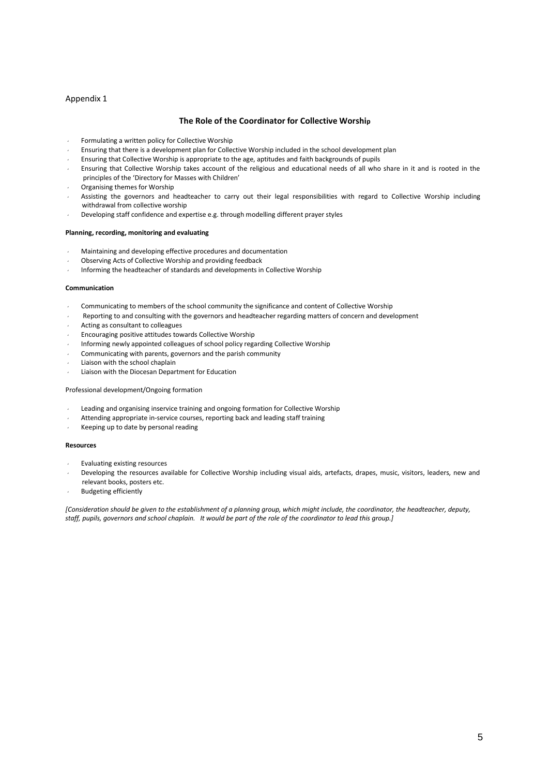#### Appendix 1

#### **The Role of the Coordinator for Collective Worship**

- Formulating a written policy for Collective Worship
- Ensuring that there is a development plan for Collective Worship included in the school development plan
- Ensuring that Collective Worship is appropriate to the age, aptitudes and faith backgrounds of pupils
- Ensuring that Collective Worship takes account of the religious and educational needs of all who share in it and is rooted in the principles of the 'Directory for Masses with Children'
- Organising themes for Worship
- Assisting the governors and headteacher to carry out their legal responsibilities with regard to Collective Worship including withdrawal from collective worship
- Developing staff confidence and expertise e.g. through modelling different prayer styles

#### **Planning, recording, monitoring and evaluating**

- Maintaining and developing effective procedures and documentation
- Observing Acts of Collective Worship and providing feedback
- Informing the headteacher of standards and developments in Collective Worship

#### **Communication**

- Communicating to members of the school community the significance and content of Collective Worship
- Reporting to and consulting with the governors and headteacher regarding matters of concern and development
- Acting as consultant to colleagues
- Encouraging positive attitudes towards Collective Worship
- Informing newly appointed colleagues of school policy regarding Collective Worship
- Communicating with parents, governors and the parish community
- Liaison with the school chaplain
- Liaison with the Diocesan Department for Education

#### Professional development/Ongoing formation

- Leading and organising inservice training and ongoing formation for Collective Worship
- Attending appropriate in-service courses, reporting back and leading staff training
- Keeping up to date by personal reading

#### **Resources**

- Evaluating existing resources
- Developing the resources available for Collective Worship including visual aids, artefacts, drapes, music, visitors, leaders, new and relevant books, posters etc.
- Budgeting efficiently

[Consideration should be given to the establishment of a planning group, which might include, the coordinator, the headteacher, deputy, *staff, pupils, governors and school chaplain. It would be part of the role of the coordinator to lead this group.]*